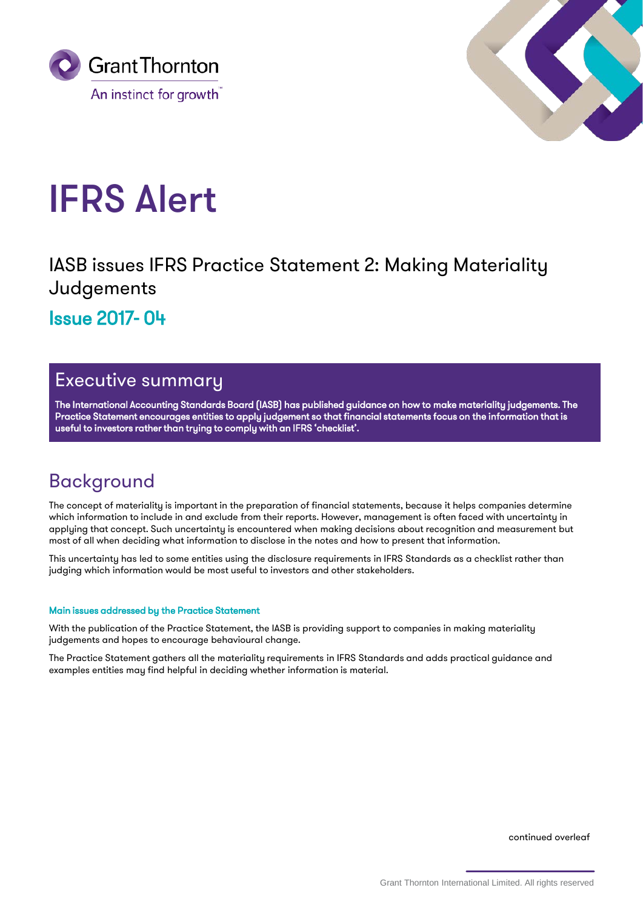



# IFRS Alert

IASB issues IFRS Practice Statement 2: Making Materiality Judgements Issue 2017- 04

## Executive summary

The International Accounting Standards Board (IASB) has published guidance on how to make materiality judgements. The Practice Statement encourages entities to apply judgement so that financial statements focus on the information that is useful to investors rather than trying to comply with an IFRS 'checklist'.

# Background

The concept of materiality is important in the preparation of financial statements, because it helps companies determine which information to include in and exclude from their reports. However, management is often faced with uncertainty in applying that concept. Such uncertainty is encountered when making decisions about recognition and measurement but most of all when deciding what information to disclose in the notes and how to present that information.

This uncertainty has led to some entities using the disclosure requirements in IFRS Standards as a checklist rather than judging which information would be most useful to investors and other stakeholders.

## Main issues addressed by the Practice Statement

With the publication of the Practice Statement, the IASB is providing support to companies in making materiality judgements and hopes to encourage behavioural change.

The Practice Statement gathers all the materiality requirements in IFRS Standards and adds practical guidance and examples entities may find helpful in deciding whether information is material.

continued overleaf